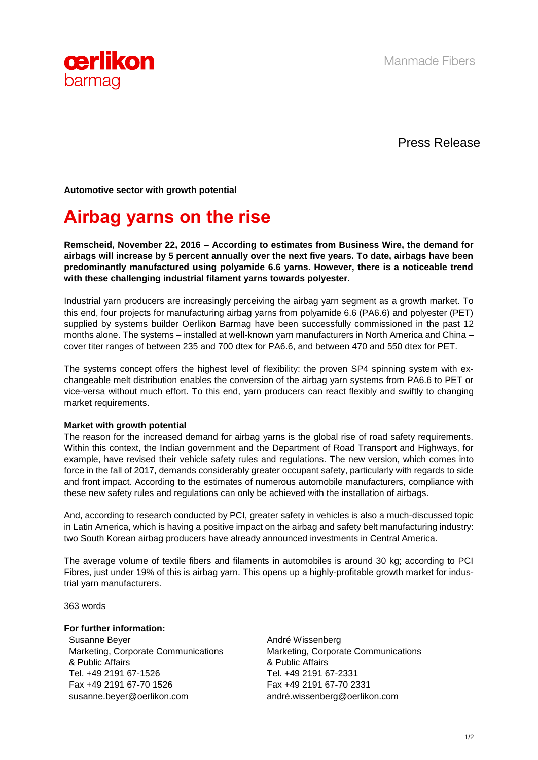



Press Release

**Automotive sector with growth potential**

# **Airbag yarns on the rise**

**Remscheid, November 22, 2016 – According to estimates from Business Wire, the demand for airbags will increase by 5 percent annually over the next five years. To date, airbags have been predominantly manufactured using polyamide 6.6 yarns. However, there is a noticeable trend with these challenging industrial filament yarns towards polyester.**

Industrial yarn producers are increasingly perceiving the airbag yarn segment as a growth market. To this end, four projects for manufacturing airbag yarns from polyamide 6.6 (PA6.6) and polyester (PET) supplied by systems builder Oerlikon Barmag have been successfully commissioned in the past 12 months alone. The systems – installed at well-known yarn manufacturers in North America and China – cover titer ranges of between 235 and 700 dtex for PA6.6, and between 470 and 550 dtex for PET.

The systems concept offers the highest level of flexibility: the proven SP4 spinning system with exchangeable melt distribution enables the conversion of the airbag yarn systems from PA6.6 to PET or vice-versa without much effort. To this end, yarn producers can react flexibly and swiftly to changing market requirements.

### **Market with growth potential**

The reason for the increased demand for airbag yarns is the global rise of road safety requirements. Within this context, the Indian government and the Department of Road Transport and Highways, for example, have revised their vehicle safety rules and regulations. The new version, which comes into force in the fall of 2017, demands considerably greater occupant safety, particularly with regards to side and front impact. According to the estimates of numerous automobile manufacturers, compliance with these new safety rules and regulations can only be achieved with the installation of airbags.

And, according to research conducted by PCI, greater safety in vehicles is also a much-discussed topic in Latin America, which is having a positive impact on the airbag and safety belt manufacturing industry: two South Korean airbag producers have already announced investments in Central America.

The average volume of textile fibers and filaments in automobiles is around 30 kg; according to PCI Fibres, just under 19% of this is airbag yarn. This opens up a highly-profitable growth market for industrial yarn manufacturers.

363 words

### **For further information:**

Susanne Beyer Marketing, Corporate Communications & Public Affairs Tel. +49 2191 67-1526 Fax +49 2191 67-70 1526 susanne.beyer@oerlikon.com

André Wissenberg Marketing, Corporate Communications & Public Affairs Tel. +49 2191 67-2331 Fax +49 2191 67-70 2331 andré.wissenberg@oerlikon.com